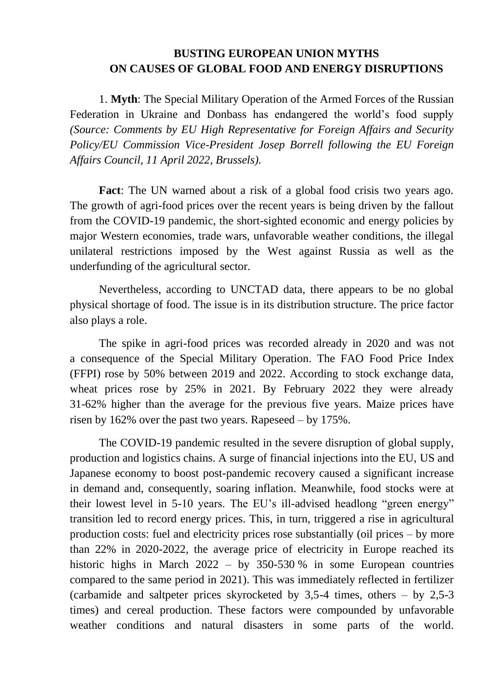## **BUSTING EUROPEAN UNION MYTHS ON CAUSES OF GLOBAL FOOD AND ENERGY DISRUPTIONS**

1. **Myth**: The Special Military Operation of the Armed Forces of the Russian Federation in Ukraine and Donbass has endangered the world's food supply *(Source: Comments by EU High Representative for Foreign Affairs and Security Policy/EU Commission Vice-President Josep Borrell following the EU Foreign Affairs Council, 11 April 2022, Brussels).*

**Fact**: The UN warned about a risk of a global food crisis two years ago. The growth of agri-food prices over the recent years is being driven by the fallout from the COVID-19 pandemic, the short-sighted economic and energy policies by major Western economies, trade wars, unfavorable weather conditions, the illegal unilateral restrictions imposed by the West against Russia as well as the underfunding of the agricultural sector.

Nevertheless, according to UNCTAD data, there appears to be no global physical shortage of food. The issue is in its distribution structure. The price factor also plays a role.

The spike in agri-food prices was recorded already in 2020 and was not a consequence of the Special Military Operation. The FAO Food Price Index (FFPI) rose by 50% between 2019 and 2022. According to stock exchange data, wheat prices rose by 25% in 2021. By February 2022 they were already 31-62% higher than the average for the previous five years. Maize prices have risen by 162% over the past two years. Rapeseed – by 175%.

The COVID-19 pandemic resulted in the severe disruption of global supply, production and logistics chains. A surge of financial injections into the EU, US and Japanese economy to boost post-pandemic recovery caused a significant increase in demand and, consequently, soaring inflation. Meanwhile, food stocks were at their lowest level in 5-10 years. The EU's ill-advised headlong "green energy" transition led to record energy prices. This, in turn, triggered a rise in agricultural production costs: fuel and electricity prices rose substantially (oil prices – by more than 22% in 2020-2022, the average price of electricity in Europe reached its historic highs in March 2022 – by 350-530 % in some European countries compared to the same period in 2021). This was immediately reflected in fertilizer (carbamide and saltpeter prices skyrocketed by 3,5-4 times, others – by 2,5-3 times) and cereal production. These factors were compounded by unfavorable weather conditions and natural disasters in some parts of the world.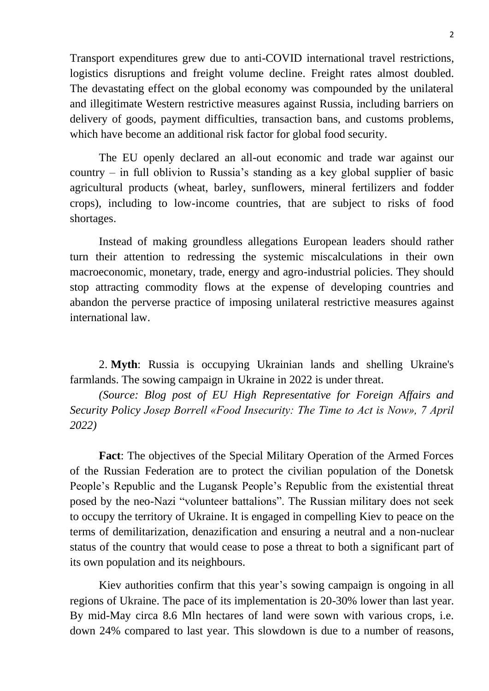Transport expenditures grew due to anti-COVID international travel restrictions, logistics disruptions and freight volume decline. Freight rates almost doubled. The devastating effect on the global economy was compounded by the unilateral and illegitimate Western restrictive measures against Russia, including barriers on delivery of goods, payment difficulties, transaction bans, and customs problems, which have become an additional risk factor for global food security.

The EU openly declared an all-out economic and trade war against our country – in full oblivion to Russia's standing as a key global supplier of basic agricultural products (wheat, barley, sunflowers, mineral fertilizers and fodder crops), including to low-income countries, that are subject to risks of food shortages.

Instead of making groundless allegations European leaders should rather turn their attention to redressing the systemic miscalculations in their own macroeconomic, monetary, trade, energy and agro-industrial policies. They should stop attracting commodity flows at the expense of developing countries and abandon the perverse practice of imposing unilateral restrictive measures against international law.

2. **Myth**: Russia is occupying Ukrainian lands and shelling Ukraine's farmlands. The sowing campaign in Ukraine in 2022 is under threat.

*(Source: Blog post of EU High Representative for Foreign Affairs and Security Policy Josep Borrell «Food Insecurity: The Time to Act is Now», 7 April 2022)*

**Fact**: The objectives of the Special Military Operation of the Armed Forces of the Russian Federation are to protect the civilian population of the Donetsk People's Republic and the Lugansk People's Republic from the existential threat posed by the neo-Nazi "volunteer battalions". The Russian military does not seek to occupy the territory of Ukraine. It is engaged in compelling Kiev to peace on the terms of demilitarization, denazification and ensuring a neutral and a non-nuclear status of the country that would cease to pose a threat to both a significant part of its own population and its neighbours.

Kiev authorities confirm that this year's sowing campaign is ongoing in all regions of Ukraine. The pace of its implementation is 20-30% lower than last year. By mid-May circa 8.6 Mln hectares of land were sown with various crops, i.e. down 24% compared to last year. This slowdown is due to a number of reasons,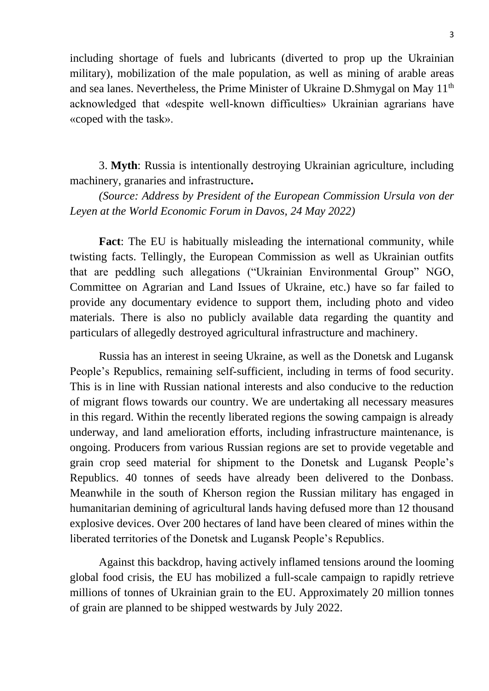including shortage of fuels and lubricants (diverted to prop up the Ukrainian military), mobilization of the male population, as well as mining of arable areas and sea lanes. Nevertheless, the Prime Minister of Ukraine D.Shmygal on May 11<sup>th</sup> acknowledged that «despite well-known difficulties» Ukrainian agrarians have «coped with the task».

3. **Myth**: Russia is intentionally destroying Ukrainian agriculture, including machinery, granaries and infrastructure**.** 

*(Source: Address by President of the European Commission Ursula von der Leyen at the World Economic Forum in Davos, 24 May 2022)*

**Fact**: The EU is habitually misleading the international community, while twisting facts. Tellingly, the European Commission as well as Ukrainian outfits that are peddling such allegations ("Ukrainian Environmental Group" NGO, Committee on Agrarian and Land Issues of Ukraine, etc.) have so far failed to provide any documentary evidence to support them, including photo and video materials. There is also no publicly available data regarding the quantity and particulars of allegedly destroyed agricultural infrastructure and machinery.

Russia has an interest in seeing Ukraine, as well as the Donetsk and Lugansk People's Republics, remaining self-sufficient, including in terms of food security. This is in line with Russian national interests and also conducive to the reduction of migrant flows towards our country. We are undertaking all necessary measures in this regard. Within the recently liberated regions the sowing campaign is already underway, and land amelioration efforts, including infrastructure maintenance, is ongoing. Producers from various Russian regions are set to provide vegetable and grain crop seed material for shipment to the Donetsk and Lugansk People's Republics. 40 tonnes of seeds have already been delivered to the Donbass. Meanwhile in the south of Kherson region the Russian military has engaged in humanitarian demining of agricultural lands having defused more than 12 thousand explosive devices. Over 200 hectares of land have been cleared of mines within the liberated territories of the Donetsk and Lugansk People's Republics.

Against this backdrop, having actively inflamed tensions around the looming global food crisis, the EU has mobilized a full-scale campaign to rapidly retrieve millions of tonnes of Ukrainian grain to the EU. Approximately 20 million tonnes of grain are planned to be shipped westwards by July 2022.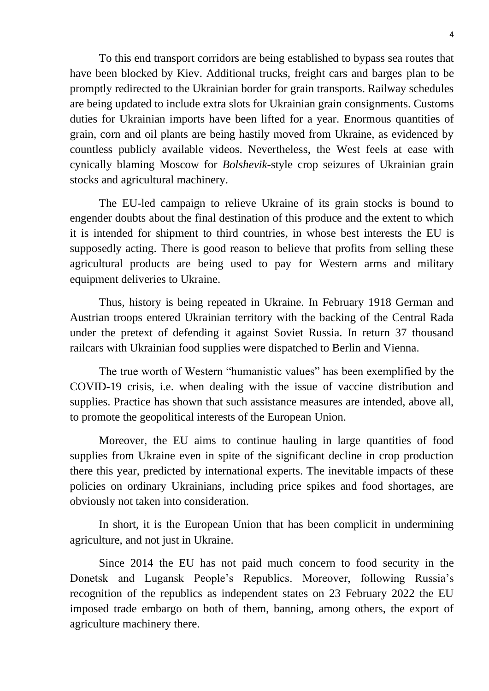To this end transport corridors are being established to bypass sea routes that have been blocked by Kiev. Additional trucks, freight cars and barges plan to be promptly redirected to the Ukrainian border for grain transports. Railway schedules are being updated to include extra slots for Ukrainian grain consignments. Customs duties for Ukrainian imports have been lifted for a year. Enormous quantities of grain, corn and oil plants are being hastily moved from Ukraine, as evidenced by countless publicly available videos. Nevertheless, the West feels at ease with cynically blaming Moscow for *Bolshevik*-style crop seizures of Ukrainian grain stocks and agricultural machinery.

The EU-led campaign to relieve Ukraine of its grain stocks is bound to engender doubts about the final destination of this produce and the extent to which it is intended for shipment to third countries, in whose best interests the EU is supposedly acting. There is good reason to believe that profits from selling these agricultural products are being used to pay for Western arms and military equipment deliveries to Ukraine.

Thus, history is being repeated in Ukraine. In February 1918 German and Austrian troops entered Ukrainian territory with the backing of the Central Rada under the pretext of defending it against Soviet Russia. In return 37 thousand railcars with Ukrainian food supplies were dispatched to Berlin and Vienna.

The true worth of Western "humanistic values" has been exemplified by the COVID-19 crisis, i.e. when dealing with the issue of vaccine distribution and supplies. Practice has shown that such assistance measures are intended, above all, to promote the geopolitical interests of the European Union.

Moreover, the EU aims to continue hauling in large quantities of food supplies from Ukraine even in spite of the significant decline in crop production there this year, predicted by international experts. The inevitable impacts of these policies on ordinary Ukrainians, including price spikes and food shortages, are obviously not taken into consideration.

In short, it is the European Union that has been complicit in undermining agriculture, and not just in Ukraine.

Since 2014 the EU has not paid much concern to food security in the Donetsk and Lugansk People's Republics. Moreover, following Russia's recognition of the republics as independent states on 23 February 2022 the EU imposed trade embargo on both of them, banning, among others, the export of agriculture machinery there.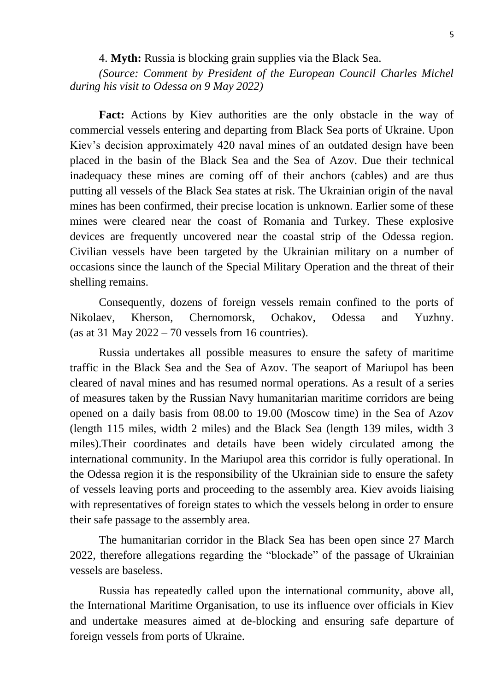4. **Myth:** Russia is blocking grain supplies via the Black Sea.

*(Source: Comment by President of the European Council Charles Michel during his visit to Odessa on 9 May 2022)*

Fact: Actions by Kiev authorities are the only obstacle in the way of commercial vessels entering and departing from Black Sea ports of Ukraine. Upon Kiev's decision approximately 420 naval mines of an outdated design have been placed in the basin of the Black Sea and the Sea of Azov. Due their technical inadequacy these mines are coming off of their anchors (cables) and are thus putting all vessels of the Black Sea states at risk. The Ukrainian origin of the naval mines has been confirmed, their precise location is unknown. Earlier some of these mines were cleared near the coast of Romania and Turkey. These explosive devices are frequently uncovered near the coastal strip of the Odessa region. Civilian vessels have been targeted by the Ukrainian military on a number of occasions since the launch of the Special Military Operation and the threat of their shelling remains.

Consequently, dozens of foreign vessels remain confined to the ports of Nikolaev, Kherson, Chernomorsk, Ochakov, Odessa and Yuzhny. (as at 31 May  $2022 - 70$  vessels from 16 countries).

Russia undertakes all possible measures to ensure the safety of maritime traffic in the Black Sea and the Sea of Azov. The seaport of Mariupol has been cleared of naval mines and has resumed normal operations. As a result of a series of measures taken by the Russian Navy humanitarian maritime corridors are being opened on a daily basis from 08.00 to 19.00 (Moscow time) in the Sea of Azov (length 115 miles, width 2 miles) and the Black Sea (length 139 miles, width 3 miles).Their coordinates and details have been widely circulated among the international community. In the Mariupol area this corridor is fully operational. In the Odessa region it is the responsibility of the Ukrainian side to ensure the safety of vessels leaving ports and proceeding to the assembly area. Kiev avoids liaising with representatives of foreign states to which the vessels belong in order to ensure their safe passage to the assembly area.

The humanitarian corridor in the Black Sea has been open since 27 March 2022, therefore allegations regarding the "blockade" of the passage of Ukrainian vessels are baseless.

Russia has repeatedly called upon the international community, above all, the International Maritime Organisation, to use its influence over officials in Kiev and undertake measures aimed at de-blocking and ensuring safe departure of foreign vessels from ports of Ukraine.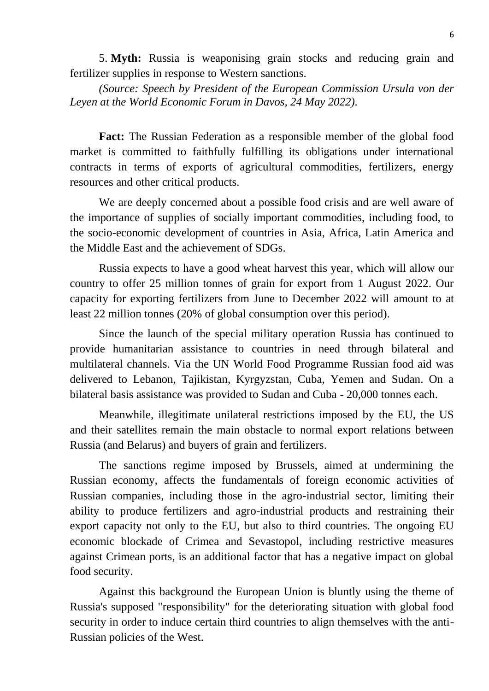5. **Myth:** Russia is weaponising grain stocks and reducing grain and fertilizer supplies in response to Western sanctions.

*(Source: Speech by President of the European Commission Ursula von der Leyen at the World Economic Forum in Davos, 24 May 2022).*

**Fact:** The Russian Federation as a responsible member of the global food market is committed to faithfully fulfilling its obligations under international contracts in terms of exports of agricultural commodities, fertilizers, energy resources and other critical products.

We are deeply concerned about a possible food crisis and are well aware of the importance of supplies of socially important commodities, including food, to the socio-economic development of countries in Asia, Africa, Latin America and the Middle East and the achievement of SDGs.

Russia expects to have a good wheat harvest this year, which will allow our country to offer 25 million tonnes of grain for export from 1 August 2022. Our capacity for exporting fertilizers from June to December 2022 will amount to at least 22 million tonnes (20% of global consumption over this period).

Since the launch of the special military operation Russia has continued to provide humanitarian assistance to countries in need through bilateral and multilateral channels. Via the UN World Food Programme Russian food aid was delivered to Lebanon, Tajikistan, Kyrgyzstan, Cuba, Yemen and Sudan. On a bilateral basis assistance was provided to Sudan and Cuba - 20,000 tonnes each.

Meanwhile, illegitimate unilateral restrictions imposed by the EU, the US and their satellites remain the main obstacle to normal export relations between Russia (and Belarus) and buyers of grain and fertilizers.

The sanctions regime imposed by Brussels, aimed at undermining the Russian economy, affects the fundamentals of foreign economic activities of Russian companies, including those in the agro-industrial sector, limiting their ability to produce fertilizers and agro-industrial products and restraining their export capacity not only to the EU, but also to third countries. The ongoing EU economic blockade of Crimea and Sevastopol, including restrictive measures against Crimean ports, is an additional factor that has a negative impact on global food security.

Against this background the European Union is bluntly using the theme of Russia's supposed "responsibility" for the deteriorating situation with global food security in order to induce certain third countries to align themselves with the anti-Russian policies of the West.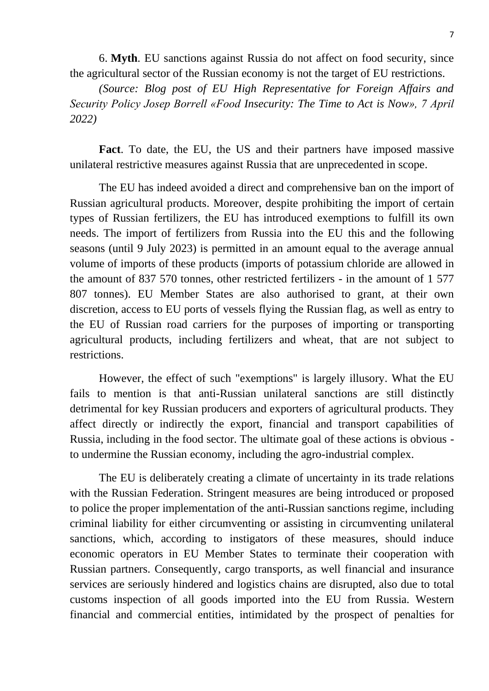6. **Myth**. EU sanctions against Russia do not affect on food security, since the agricultural sector of the Russian economy is not the target of EU restrictions.

*(Source: Blog post of EU High Representative for Foreign Affairs and Security Policy Josep Borrell «Food Insecurity: The Time to Act is Now», 7 April 2022)*

**Fact**. To date, the EU, the US and their partners have imposed massive unilateral restrictive measures against Russia that are unprecedented in scope.

The EU has indeed avoided a direct and comprehensive ban on the import of Russian agricultural products. Moreover, despite prohibiting the import of certain types of Russian fertilizers, the EU has introduced exemptions to fulfill its own needs. The import of fertilizers from Russia into the EU this and the following seasons (until 9 July 2023) is permitted in an amount equal to the average annual volume of imports of these products (imports of potassium chloride are allowed in the amount of 837 570 tonnes, other restricted fertilizers - in the amount of 1 577 807 tonnes). EU Member States are also authorised to grant, at their own discretion, access to EU ports of vessels flying the Russian flag, as well as entry to the EU of Russian road carriers for the purposes of importing or transporting agricultural products, including fertilizers and wheat, that are not subject to restrictions.

However, the effect of such "exemptions" is largely illusory. What the EU fails to mention is that anti-Russian unilateral sanctions are still distinctly detrimental for key Russian producers and exporters of agricultural products. They affect directly or indirectly the export, financial and transport capabilities of Russia, including in the food sector. The ultimate goal of these actions is obvious to undermine the Russian economy, including the agro-industrial complex.

The EU is deliberately creating a climate of uncertainty in its trade relations with the Russian Federation. Stringent measures are being introduced or proposed to police the proper implementation of the anti-Russian sanctions regime, including criminal liability for either circumventing or assisting in circumventing unilateral sanctions, which, according to instigators of these measures, should induce economic operators in EU Member States to terminate their cooperation with Russian partners. Consequently, cargo transports, as well financial and insurance services are seriously hindered and logistics chains are disrupted, also due to total customs inspection of all goods imported into the EU from Russia. Western financial and commercial entities, intimidated by the prospect of penalties for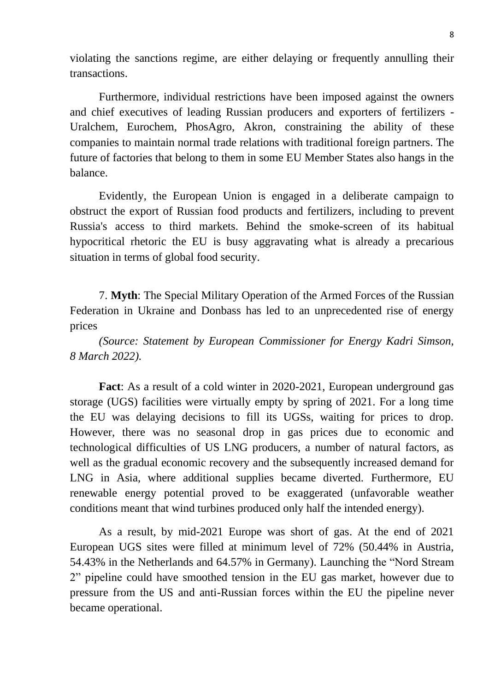violating the sanctions regime, are either delaying or frequently annulling their transactions.

Furthermore, individual restrictions have been imposed against the owners and chief executives of leading Russian producers and exporters of fertilizers - Uralchem, Eurochem, PhosAgro, Akron, constraining the ability of these companies to maintain normal trade relations with traditional foreign partners. The future of factories that belong to them in some EU Member States also hangs in the balance.

Evidently, the European Union is engaged in a deliberate campaign to obstruct the export of Russian food products and fertilizers, including to prevent Russia's access to third markets. Behind the smoke-screen of its habitual hypocritical rhetoric the EU is busy aggravating what is already a precarious situation in terms of global food security.

7. **Myth**: The Special Military Operation of the Armed Forces of the Russian Federation in Ukraine and Donbass has led to an unprecedented rise of energy prices

*(Source: Statement by European Commissioner for Energy Kadri Simson, 8 March 2022).*

**Fact**: As a result of a cold winter in 2020-2021, European underground gas storage (UGS) facilities were virtually empty by spring of 2021. For a long time the EU was delaying decisions to fill its UGSs, waiting for prices to drop. However, there was no seasonal drop in gas prices due to economic and technological difficulties of US LNG producers, a number of natural factors, as well as the gradual economic recovery and the subsequently increased demand for LNG in Asia, where additional supplies became diverted. Furthermore, EU renewable energy potential proved to be exaggerated (unfavorable weather conditions meant that wind turbines produced only half the intended energy).

As a result, by mid-2021 Europe was short of gas. At the end of 2021 European UGS sites were filled at minimum level of 72% (50.44% in Austria, 54.43% in the Netherlands and 64.57% in Germany). Launching the "Nord Stream 2" pipeline could have smoothed tension in the EU gas market, however due to pressure from the US and anti-Russian forces within the EU the pipeline never became operational.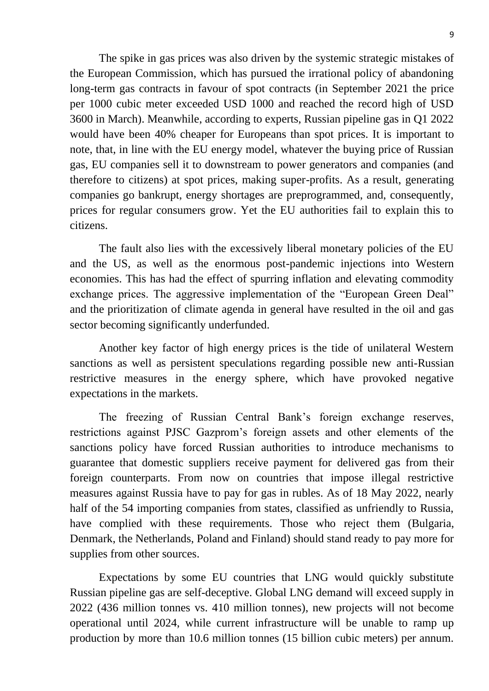The spike in gas prices was also driven by the systemic strategic mistakes of the European Commission, which has pursued the irrational policy of abandoning long-term gas contracts in favour of spot contracts (in September 2021 the price per 1000 cubic meter exceeded USD 1000 and reached the record high of USD 3600 in March). Meanwhile, according to experts, Russian pipeline gas in Q1 2022 would have been 40% cheaper for Europeans than spot prices. It is important to note, that, in line with the EU energy model, whatever the buying price of Russian gas, EU companies sell it to downstream to power generators and companies (and therefore to citizens) at spot prices, making super-profits. As a result, generating companies go bankrupt, energy shortages are preprogrammed, and, consequently, prices for regular consumers grow. Yet the EU authorities fail to explain this to citizens.

The fault also lies with the excessively liberal monetary policies of the EU and the US, as well as the enormous post-pandemic injections into Western economies. This has had the effect of spurring inflation and elevating commodity exchange prices. The aggressive implementation of the "European Green Deal" and the prioritization of climate agenda in general have resulted in the oil and gas sector becoming significantly underfunded.

Another key factor of high energy prices is the tide of unilateral Western sanctions as well as persistent speculations regarding possible new anti-Russian restrictive measures in the energy sphere, which have provoked negative expectations in the markets.

The freezing of Russian Central Bank's foreign exchange reserves, restrictions against PJSC Gazprom's foreign assets and other elements of the sanctions policy have forced Russian authorities to introduce mechanisms to guarantee that domestic suppliers receive payment for delivered gas from their foreign counterparts. From now on countries that impose illegal restrictive measures against Russia have to pay for gas in rubles. As of 18 May 2022, nearly half of the 54 importing companies from states, classified as unfriendly to Russia, have complied with these requirements. Those who reject them (Bulgaria, Denmark, the Netherlands, Poland and Finland) should stand ready to pay more for supplies from other sources.

Expectations by some EU countries that LNG would quickly substitute Russian pipeline gas are self-deceptive. Global LNG demand will exceed supply in 2022 (436 million tonnes vs. 410 million tonnes), new projects will not become operational until 2024, while current infrastructure will be unable to ramp up production by more than 10.6 million tonnes (15 billion cubic meters) per annum.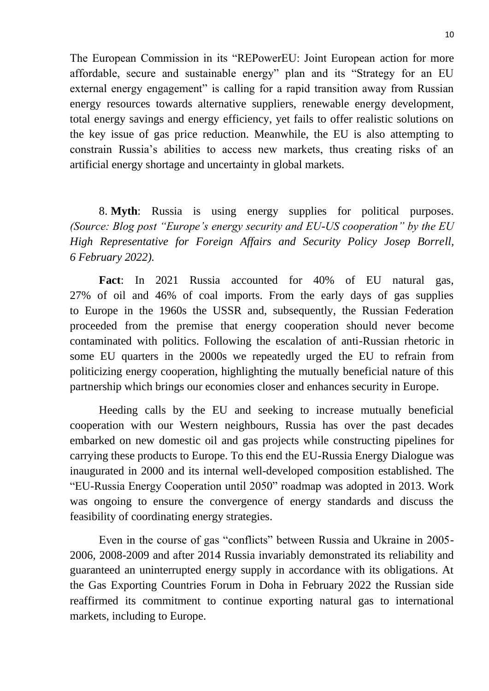The European Commission in its "REPowerEU: Joint European action for more affordable, secure and sustainable energy" plan and its "Strategy for an EU external energy engagement" is calling for a rapid transition away from Russian energy resources towards alternative suppliers, renewable energy development, total energy savings and energy efficiency, yet fails to offer realistic solutions on the key issue of gas price reduction. Meanwhile, the EU is also attempting to constrain Russia's abilities to access new markets, thus creating risks of an artificial energy shortage and uncertainty in global markets.

8. **Myth**: Russia is using energy supplies for political purposes*. (Source: Blog post "Europe's energy security and EU-US cooperation" by the EU High Representative for Foreign Affairs and Security Policy Josep Borrell, 6 February 2022).*

**Fact**: In 2021 Russia accounted for 40% of EU natural gas, 27% of oil and 46% of coal imports. From the early days of gas supplies to Europe in the 1960s the USSR and, subsequently, the Russian Federation proceeded from the premise that energy cooperation should never become contaminated with politics. Following the escalation of anti-Russian rhetoric in some EU quarters in the 2000s we repeatedly urged the EU to refrain from politicizing energy cooperation, highlighting the mutually beneficial nature of this partnership which brings our economies closer and enhances security in Europe.

Heeding calls by the EU and seeking to increase mutually beneficial cooperation with our Western neighbours, Russia has over the past decades embarked on new domestic oil and gas projects while constructing pipelines for carrying these products to Europe. To this end the EU-Russia Energy Dialogue was inaugurated in 2000 and its internal well-developed composition established. The "EU-Russia Energy Cooperation until 2050" roadmap was adopted in 2013. Work was ongoing to ensure the convergence of energy standards and discuss the feasibility of coordinating energy strategies.

Even in the course of gas "conflicts" between Russia and Ukraine in 2005- 2006, 2008-2009 and after 2014 Russia invariably demonstrated its reliability and guaranteed an uninterrupted energy supply in accordance with its obligations. At the Gas Exporting Countries Forum in Doha in February 2022 the Russian side reaffirmed its commitment to continue exporting natural gas to international markets, including to Europe.